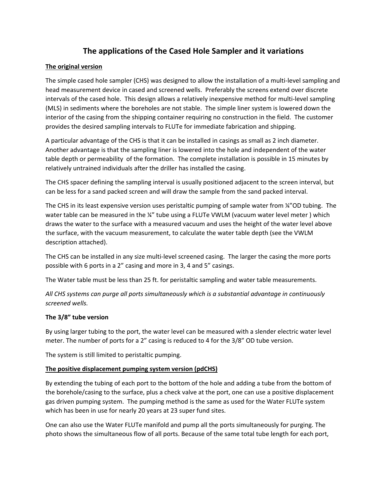# **The applications of the Cased Hole Sampler and it variations**

## **The original version**

The simple cased hole sampler (CHS) was designed to allow the installation of a multi‐level sampling and head measurement device in cased and screened wells. Preferably the screens extend over discrete intervals of the cased hole. This design allows a relatively inexpensive method for multi‐level sampling (MLS) in sediments where the boreholes are not stable. The simple liner system is lowered down the interior of the casing from the shipping container requiring no construction in the field. The customer provides the desired sampling intervals to FLUTe for immediate fabrication and shipping.

A particular advantage of the CHS is that it can be installed in casings as small as 2 inch diameter. Another advantage is that the sampling liner is lowered into the hole and independent of the water table depth or permeability of the formation. The complete installation is possible in 15 minutes by relatively untrained individuals after the driller has installed the casing.

The CHS spacer defining the sampling interval is usually positioned adjacent to the screen interval, but can be less for a sand packed screen and will draw the sample from the sand packed interval.

The CHS in its least expensive version uses peristaltic pumping of sample water from ¼"OD tubing. The water table can be measured in the ¼" tube using a FLUTe VWLM (vacuum water level meter) which draws the water to the surface with a measured vacuum and uses the height of the water level above the surface, with the vacuum measurement, to calculate the water table depth (see the VWLM description attached).

The CHS can be installed in any size multi-level screened casing. The larger the casing the more ports possible with 6 ports in a 2" casing and more in 3, 4 and 5" casings.

The Water table must be less than 25 ft. for peristaltic sampling and water table measurements.

*All CHS systems can purge all ports simultaneously which is a substantial advantage in continuously screened wells.* 

## **The 3/8" tube version**

By using larger tubing to the port, the water level can be measured with a slender electric water level meter. The number of ports for a 2" casing is reduced to 4 for the 3/8" OD tube version.

The system is still limited to peristaltic pumping.

## **The positive displacement pumping system version (pdCHS)**

By extending the tubing of each port to the bottom of the hole and adding a tube from the bottom of the borehole/casing to the surface, plus a check valve at the port, one can use a positive displacement gas driven pumping system. The pumping method is the same as used for the Water FLUTe system which has been in use for nearly 20 years at 23 super fund sites.

One can also use the Water FLUTe manifold and pump all the ports simultaneously for purging. The photo shows the simultaneous flow of all ports. Because of the same total tube length for each port,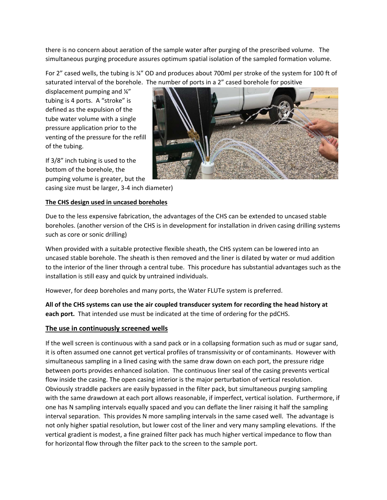there is no concern about aeration of the sample water after purging of the prescribed volume. The simultaneous purging procedure assures optimum spatial isolation of the sampled formation volume.

For 2" cased wells, the tubing is ¼" OD and produces about 700ml per stroke of the system for 100 ft of saturated interval of the borehole. The number of ports in a 2" cased borehole for positive

displacement pumping and ¼" tubing is 4 ports. A "stroke" is defined as the expulsion of the tube water volume with a single pressure application prior to the venting of the pressure for the refill of the tubing.

If 3/8" inch tubing is used to the bottom of the borehole, the pumping volume is greater, but the

casing size must be larger, 3‐4 inch diameter)

#### **The CHS design used in uncased boreholes**

Due to the less expensive fabrication, the advantages of the CHS can be extended to uncased stable boreholes. (another version of the CHS is in development for installation in driven casing drilling systems such as core or sonic drilling)

When provided with a suitable protective flexible sheath, the CHS system can be lowered into an uncased stable borehole. The sheath is then removed and the liner is dilated by water or mud addition to the interior of the liner through a central tube. This procedure has substantial advantages such as the installation is still easy and quick by untrained individuals.

However, for deep boreholes and many ports, the Water FLUTe system is preferred.

**All of the CHS systems can use the air coupled transducer system for recording the head history at**  each port. That intended use must be indicated at the time of ordering for the pdCHS.

#### **The use in continuously screened wells**

If the well screen is continuous with a sand pack or in a collapsing formation such as mud or sugar sand, it is often assumed one cannot get vertical profiles of transmissivity or of contaminants. However with simultaneous sampling in a lined casing with the same draw down on each port, the pressure ridge between ports provides enhanced isolation. The continuous liner seal of the casing prevents vertical flow inside the casing. The open casing interior is the major perturbation of vertical resolution. Obviously straddle packers are easily bypassed in the filter pack, but simultaneous purging sampling with the same drawdown at each port allows reasonable, if imperfect, vertical isolation. Furthermore, if one has N sampling intervals equally spaced and you can deflate the liner raising it half the sampling interval separation. This provides N more sampling intervals in the same cased well. The advantage is not only higher spatial resolution, but lower cost of the liner and very many sampling elevations. If the vertical gradient is modest, a fine grained filter pack has much higher vertical impedance to flow than for horizontal flow through the filter pack to the screen to the sample port.